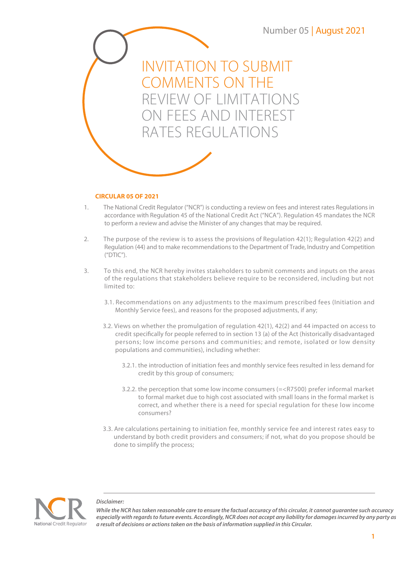

## **CIRCULAR 05 OF 2021**

- 1. The National Credit Regulator ("NCR") is conducting a review on fees and interest rates Regulations in accordance with Regulation 45 of the National Credit Act ("NCA"). Regulation 45 mandates the NCR to perform a review and advise the Minister of any changes that may be required.
- 2. The purpose of the review is to assess the provisions of Regulation 42(1); Regulation 42(2) and Regulation (44) and to make recommendations to the Department of Trade, Industry and Competition ("DTIC").
- 3. To this end, the NCR hereby invites stakeholders to submit comments and inputs on the areas of the regulations that stakeholders believe require to be reconsidered, including but not limited to:
	- 3.1. Recommendations on any adjustments to the maximum prescribed fees (Initiation and Monthly Service fees), and reasons for the proposed adjustments, if any;
	- 3.2. Views on whether the promulgation of regulation 42(1), 42(2) and 44 impacted on access to credit specifically for people referred to in section 13 (a) of the Act (historically disadvantaged persons; low income persons and communities; and remote, isolated or low density populations and communities), including whether:
		- 3.2.1. the introduction of initiation fees and monthly service fees resulted in less demand for credit by this group of consumers;
		- 3.2.2. the perception that some low income consumers (=<R7500) prefer informal market to formal market due to high cost associated with small loans in the formal market is correct, and whether there is a need for special regulation for these low income consumers?
	- 3.3. Are calculations pertaining to initiation fee, monthly service fee and interest rates easy to understand by both credit providers and consumers; if not, what do you propose should be done to simplify the process;



*Disclaimer:*

*While the NCR has taken reasonable care to ensure the factual accuracy of this circular, it cannot guarantee such accuracy especially with regards to future events. Accordingly, NCR does not accept any liability for damages incurred by any party as a result of decisions or actions taken on the basis of information supplied in this Circular.*